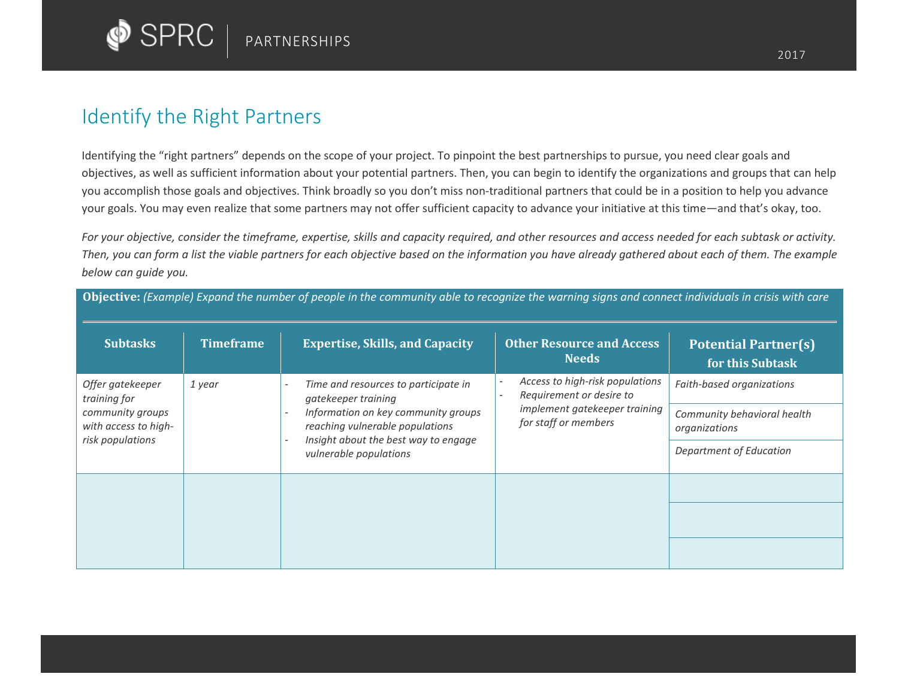

## Identify the Right Partners

Identifying the "right partners" depends on the scope of your project. To pinpoint the best partnerships to pursue, you need clear goals and objectives, as well as sufficient information about your potential partners. Then, you can begin to identify the organizations and groups that can help you accomplish those goals and objectives. Think broadly so you don't miss non-traditional partners that could be in a position to help you advance your goals. You may even realize that some partners may not offer sufficient capacity to advance your initiative at this time—and that's okay, too.

*For your objective, consider the timeframe, expertise, skills and capacity required, and other resources and access needed for each subtask or activity. Then, you can form a list the viable partners for each objective based on the information you have already gathered about each of them. The example below can guide you.* 

| <b>Subtasks</b>                                                                                  | <b>Timeframe</b> | <b>Expertise, Skills, and Capacity</b>                                                                                                                                                                                                     | <b>Other Resource and Access</b><br><b>Needs</b>                                                                                       | <b>Potential Partner(s)</b><br>for this Subtask |
|--------------------------------------------------------------------------------------------------|------------------|--------------------------------------------------------------------------------------------------------------------------------------------------------------------------------------------------------------------------------------------|----------------------------------------------------------------------------------------------------------------------------------------|-------------------------------------------------|
| Offer gatekeeper<br>training for<br>community groups<br>with access to high-<br>risk populations | 1 year           | Time and resources to participate in<br>$\overline{\phantom{a}}$<br>gatekeeper training<br>Information on key community groups<br>reaching vulnerable populations<br>Insight about the best way to engage<br>. .<br>vulnerable populations | Access to high-risk populations<br>$\overline{a}$<br>Requirement or desire to<br>implement gatekeeper training<br>for staff or members | Faith-based organizations                       |
|                                                                                                  |                  |                                                                                                                                                                                                                                            |                                                                                                                                        | Community behavioral health<br>organizations    |
|                                                                                                  |                  |                                                                                                                                                                                                                                            |                                                                                                                                        | Department of Education                         |
|                                                                                                  |                  |                                                                                                                                                                                                                                            |                                                                                                                                        |                                                 |
|                                                                                                  |                  |                                                                                                                                                                                                                                            |                                                                                                                                        |                                                 |
|                                                                                                  |                  |                                                                                                                                                                                                                                            |                                                                                                                                        |                                                 |

**Objective:** *(Example) Expand the number of people in the community able to recognize the warning signs and connect individuals in crisis with care*